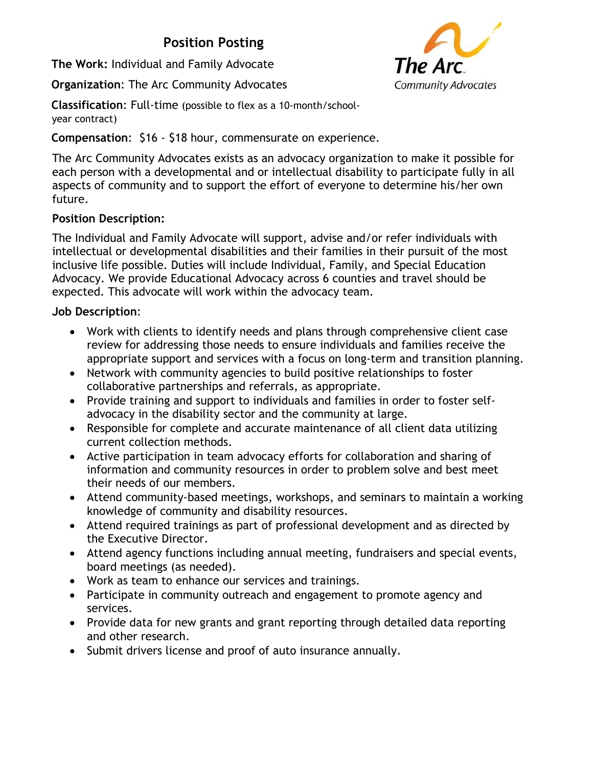## **Position Posting**

**The Work:** Individual and Family Advocate

**Organization**: The Arc Community Advocates

**Classification**: Full-time (possible to flex as a 10-month/schoolyear contract)

**Compensation**: \$16 - \$18 hour, commensurate on experience.

The Arc Community Advocates exists as an advocacy organization to make it possible for each person with a developmental and or intellectual disability to participate fully in all aspects of community and to support the effort of everyone to determine his/her own future.

## **Position Description:**

The Individual and Family Advocate will support, advise and/or refer individuals with intellectual or developmental disabilities and their families in their pursuit of the most inclusive life possible. Duties will include Individual, Family, and Special Education Advocacy. We provide Educational Advocacy across 6 counties and travel should be expected. This advocate will work within the advocacy team.

## **Job Description**:

- Work with clients to identify needs and plans through comprehensive client case review for addressing those needs to ensure individuals and families receive the appropriate support and services with a focus on long-term and transition planning.
- Network with community agencies to build positive relationships to foster collaborative partnerships and referrals, as appropriate.
- Provide training and support to individuals and families in order to foster selfadvocacy in the disability sector and the community at large.
- Responsible for complete and accurate maintenance of all client data utilizing current collection methods.
- Active participation in team advocacy efforts for collaboration and sharing of information and community resources in order to problem solve and best meet their needs of our members.
- Attend community-based meetings, workshops, and seminars to maintain a working knowledge of community and disability resources.
- Attend required trainings as part of professional development and as directed by the Executive Director.
- Attend agency functions including annual meeting, fundraisers and special events, board meetings (as needed).
- Work as team to enhance our services and trainings.
- Participate in community outreach and engagement to promote agency and services.
- Provide data for new grants and grant reporting through detailed data reporting and other research.
- Submit drivers license and proof of auto insurance annually.